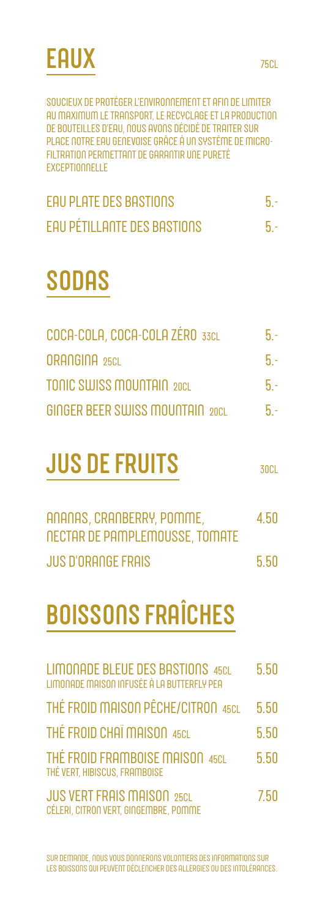

SOUCIEUX DE PROTÉGER L'ENVIRONNEMENT ET AFIN DE LIMITER AU MAXIMUM LE TRANSPORT, LE RECYCLAGE ET LA PRODUCTION DE BOUTEILLES D'EAU, NOUS AVONS DÉCIDÉ DE TRAITER SUR PLACE NOTRE EAU GENEVOISE GRÂCE À UN SYSTÈME DE MICRO-FILTRATION PERMETTANT DE GARANTIR UNE PURETÉ EXCEPTIONNELLE

| <b>EAU PLATE DES BASTIONS</b>      |  |
|------------------------------------|--|
| <b>EAU PÉTILLANTE DES BASTIONS</b> |  |

#### **SODAS**

| COCA-COLA, COCA-COLA ZÉRO 33CL   | $5 -$ |
|----------------------------------|-------|
| ORANGINA 25CL                    | $5 -$ |
| <b>TONIC SWISS MOUNTAIN 20CL</b> | $5-$  |
| GINGER BEER SWISS MOUNTAIN 20CL  | $5 -$ |

### **JUS DE FRUITS**

30CL

| ANANAS, CRANBERRY, POMME,      | 4.50 |
|--------------------------------|------|
| NECTAR DE PAMPLEMOUSSE, TOMATE |      |
| JUS D'ORANGE FRAIS             | 5.50 |

## **BOISSONS FRAÎCHES**

| <b>LIMONADE BLEUE DES BASTIONS 45CL</b><br>LIMONADE MAISON INFUSÉE À LA BUTTERFLY PEA | 5.50 |
|---------------------------------------------------------------------------------------|------|
| THÉ FROID MAISON PÊCHE/CITRON 45CL                                                    | 5.50 |
| THÉ FROID CHAÏ MAISON 45CL                                                            | 5.50 |
| THÉ FROID FRAMBOISE MAISON 45CL<br>THÉ VERT, HIBISCUS, FRAMBOISE                      | 5.50 |
| <b>JUS VERT FRAIS MAISON 25CL</b><br>CÉLERI, CITRON VERT, GINGEMBRE, POMME            | 7.50 |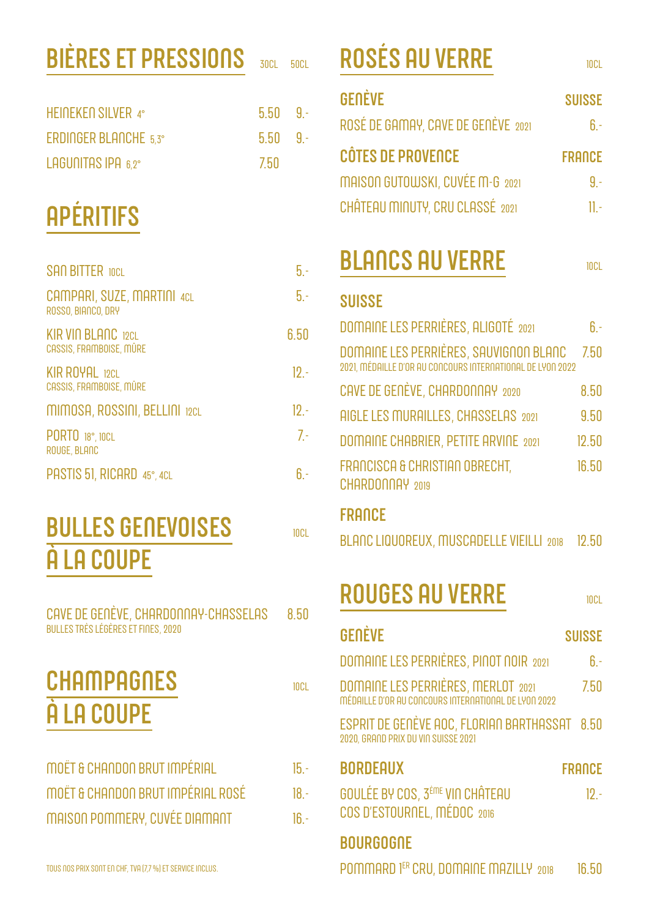# **BIÈRES ET PRESSIONS**

| HEINEKEN SILVER 4°           | $5.50$ 9. |  |
|------------------------------|-----------|--|
| <b>ERDINGER BLANCHE 5.3°</b> | $5.50$ 9. |  |
| LAGUNITAS IPA 6.2°           | -7.50     |  |

# **APÉRITIFS**

| <b>SAN BITTER 10CL</b>                               | 5.   |
|------------------------------------------------------|------|
| CAMPARI, SUZE, MARTINI 4CL<br>ROSSO, BIANCO, DRY     | 5.   |
| <b>KIR VIN BLANC 12CL</b><br>CASSIS, FRAMBOISE, MÛRE | 6.50 |
| <b>KIR ROYAL 12CL</b><br>CASSIS, FRAMBOISE, MÛRE     | 12.1 |
| MIMOSA, ROSSINI, BELLINI 12CL                        | . 19 |
| PORTO 18°, 10CL<br>ROUGE, BLANC                      | 7.   |
| PASTIS 51, RICARD 45°, 4CL                           |      |

### **BULLES GENEVOISES** À LA COUPE

| CAVE DE GENÉVE, CHARDONNAY-CHASSELAS<br><b>BULLES TRÈS LÉGÈRES ET FINES, 2020</b> | 8.50   |
|-----------------------------------------------------------------------------------|--------|
| <b>CHAMPAGNES</b><br>A LA COUPE                                                   | 10C1   |
| MOËT & CHANDON BRUT IMPÉRIAL                                                      | $15 -$ |
| MOËT & CHANDON BRUT IMPÉRIAL ROSÉ                                                 | $18 -$ |
| <b>MAISON POMMERY, CUVÉE DIAMANT</b>                                              | 1ჩ -   |
|                                                                                   |        |

## **ROSÉS AU VERRE**

 $50C1$ 

 $30C1$ 

| <b>GENÈVE</b>                                                                                                | <b>SUISSE</b> |
|--------------------------------------------------------------------------------------------------------------|---------------|
| ROSÉ DE GAMAY, CAVE DE GENÈVE 2021                                                                           | $6 -$         |
| <b>CÔTES DE PROVENCE</b>                                                                                     | <b>FRANCE</b> |
| MAISON GUTOWSKI, CUVÉE M-G 2021                                                                              | $9 -$         |
| CHÂTEAU MINUTY, CRU CLASSÉ 2021                                                                              | $11 -$        |
| <b>BLANCS AU VERRE</b><br><b>SUISSE</b>                                                                      | <b>10CL</b>   |
| DOMAINE LES PERRIÈRES, ALIGOTÉ 2021                                                                          | $6 -$         |
| <b>DOMAINE LES PERRIÈRES, SAUVIGNON BLANC<br/>2021, MÉDAILLE D'OR AU CONCOURS INTERNATIONAL DE LYON 2022</b> | 7.50          |
| CAVE DE GENÈVE, CHARDONNAY 2020                                                                              | 8.50          |
| <b>AIGLE LES MURAILLES, CHASSELAS 2021</b>                                                                   | 9.50          |
| DOMAINE CHARRIER PETITE ARVINE 2001                                                                          | 19F           |

12.OU FRANCISCA & CHRISTIAN OBRECHT, 16.50 CHARDONNAY 2019

#### **FRANCE**

 $10CL$ 

|  |  | BLANC LIQUOREUX, MUSCADELLE VIEILLI 2018 12.50 |  |
|--|--|------------------------------------------------|--|
|--|--|------------------------------------------------|--|

#### **ROUGES AU VERRE**

**10CL** 

| GENÈVE                                                                                     | <b>SUISSE</b> |
|--------------------------------------------------------------------------------------------|---------------|
| DOMAINE LES PERRIÈRES, PINOT NOIR 2021                                                     | $6 -$         |
| DOMAINE LES PERRIÈRES, MERLOT 2021<br>MÉDAILLE D'OR AU CONCOURS INTERNATIONAL DE LYON 2022 | 7.50          |
| $ES$ PRIT DE GENÈVE AOC, FLORIAN BARTHASSAT $8.50$<br>2020, GRAND PRIX DU VIN SUISSE 2021  |               |
| <b>BORDEAUX</b>                                                                            | <b>FRANCE</b> |
| GOULÉE BY COS, 3 <sup>ème</sup> VIN CHÂTEAU<br>COS D'ESTOURNEL, MÉDOC 2016                 | $19 -$        |
| <b>BOURGOGNE</b>                                                                           |               |
|                                                                                            |               |

POMMARD 1ER CRU, DOMAINE MAZILLY 2018 16.50

**10CL**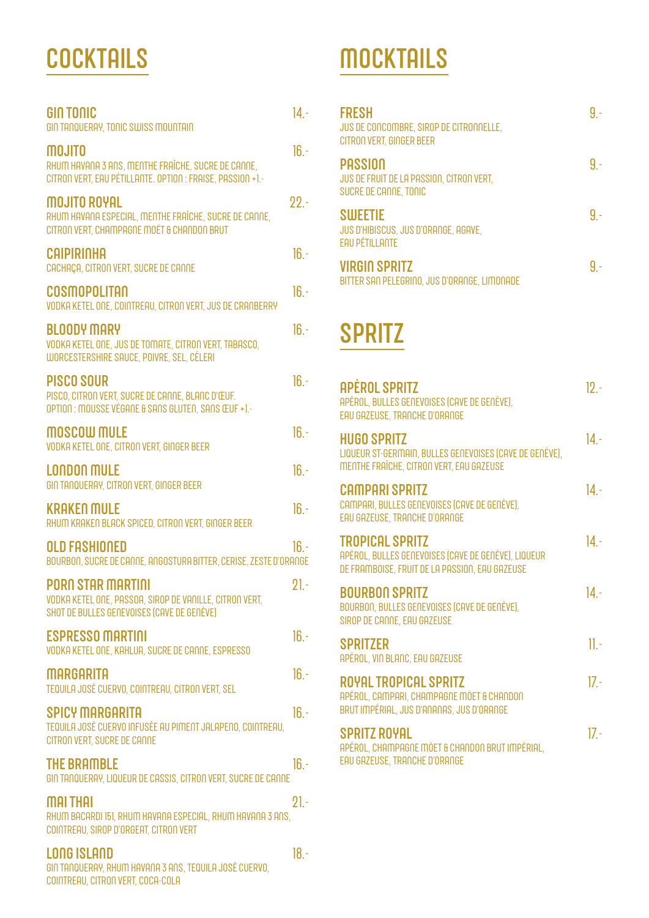#### **COCKTAILS**

| <b>GIN TONIC</b><br>GIN TANQUERAY, TONIC SWISS MOUNTAIN                                                                           | $14 -$  |
|-----------------------------------------------------------------------------------------------------------------------------------|---------|
| MOJITO<br>RHUM HAVANA 3 ANS, MENTHE FRAÎCHE, SUCRE DE CANNE,<br>CITRON VERT, EAU PÉTILLANTE. OPTION : FRAISE, PASSION +1.-        | $16 -$  |
| <b>MOJITO ROYAL</b><br>RHUM HAVANA ESPECIAL, MENTHE FRAÎCHE, SUCRE DE CANNE,<br>CITRON VERT, CHAMPAGNE MOËT & CHANDON BRUT        | $22 -$  |
| <b>CAIPIRINHA</b><br>CACHAÇA, CITRON VERT, SUCRE DE CANNE                                                                         | $16. -$ |
| <b>COSMOPOLITAN</b><br>VODKA KETEL ONE, COINTREAU, CITRON VERT, JUS DE CRANBERRY                                                  | $16 -$  |
| <b>BLOODY MARY</b><br>VODKA KETEL ONE, JUS DE TOMATE, CITRON VERT, TABASCO,<br>WORCESTERSHIRE SAUCE, POIVRE, SEL, CÉLERI          | $16 -$  |
| <b>PISCO SOUR</b><br>PISCO, CITRON VERT, SUCRE DE CANNE, BLANC D'ŒUF.<br>OPTION : MOUSSE VÉGANE & SANS GLUTEN, SANS ŒUF +1.-      | $16 -$  |
| MOSCOW MULE<br>VODKA KETEL ONE, CITRON VERT, GINGER BEER                                                                          | $16 -$  |
| <b>LONDON MULE</b><br>GIN TANQUERAY, CITRON VERT, GINGER BEER                                                                     | $16. -$ |
| <b>KRAKEN MULE</b><br>RHUM KRAKEN BLACK SPICED, CITRON VERT, GINGER BEER                                                          | $16 -$  |
| <b>OLD FASHIONED</b><br>BOURBON, SUCRE DE CANNE, ANGOSTURA BITTER, CERISE, ZESTE D'ORANGE                                         | $16 -$  |
| <b>PORN STAR MARTINI</b><br>VODKA KETEL ONE, PASSOA, SIROP DE VANILLE, CITRON VERT,<br>SHOT DE BULLES GENEVOISES (CAVE DE GENÈVE) | $21 -$  |
| <b>ESPRESSO MARTINI</b><br>VODKA KETEL ONE, KAHLUA, SUCRE DE CANNE, ESPRESSO                                                      | $16 -$  |
| <b>MARGARITA</b><br>TEQUILA JOSÉ CUERVO, COINTREAU, CITRON VERT, SEL                                                              | $16 -$  |
| <b>SPICY MARGARITA</b><br>TEQUILA JOSÉ CUERVO INFUSÉE AU PIMENT JALAPENO, COINTREAU,<br>CITRON VERT, SUCRE DE CANNE               | $16 -$  |
| <b>THE BRAMBLE</b><br>GIN TANQUERAY, LIQUEUR DE CASSIS, CITRON VERT, SUCRE DE CANNE                                               | $16 -$  |
| <b>MAI THAI</b><br>RHUM BACARDI 151, RHUM HAVANA ESPECIAL, RHUM HAVANA 3 ANS,<br>COINTREAU, SIROP D'ORGEAT, CITRON VERT           | $21 -$  |
| <b>LONG ISLAND</b><br>GIN TANQUERAY, RHUM HAVANA 3 ANS, TEQUILA JOSÉ CUERVO,                                                      | $18 -$  |

COINTREAU, CITRON VERT, COCA-COLA

#### **MOCKTAILS**

| <b>FRESH</b><br>JUS DE CONCOMBRE, SIROP DE CITRONNELLE,<br>CITRON VERT, GINGER BEER        |  |
|--------------------------------------------------------------------------------------------|--|
| <b>PASSION</b><br><b>JUS DE FRUIT DE LA PASSION, CITRON VERT,</b><br>SUCRE DE CANNE, TONIC |  |
| <b>SWEETIE</b><br>JUS D'HIBISCUS, JUS D'ORANGE, AGAVE,<br><b>EAU PÉTILLANTE</b>            |  |
| <b>VIRGIO SPRITZ</b><br>BITTER SAN PELEGRINO, JUS D'ORANGE, LIMONADE                       |  |

#### **SPRITZ**

| <b>APÉROL SPRITZ</b><br>APÉROL, BULLES GENEVOISES (CAVE DE GENÈVE),<br>EAU GAZEUSE, TRANCHE D'ORANGE                            | $12 -$  |
|---------------------------------------------------------------------------------------------------------------------------------|---------|
| <b>HUGO SPRITZ</b><br>LIQUEUR ST-GERMAIN, BULLES GENEVOISES (CAVE DE GENÈVE),<br>MENTHE FRAÎCHE, CITRON VERT, EAU GAZEUSE       | $14. -$ |
| <b>CAMPARI SPRITZ</b><br>CAMPARI, BULLES GENEVOISES (CAVE DE GENÈVE),<br>EAU GAZEUSE, TRANCHE D'ORANGE                          | $14. -$ |
| <b>TROPICAL SPRITZ</b><br>APÉROL, BULLES GENEVOISES (CAVE DE GENÈVE), LIQUEUR<br>DE FRAMBOISE, FRUIT DE LA PASSION, EAU GAZEUSE | $14 -$  |
| <b>BOURBON SPRITZ</b><br>BOURBON, BULLES GENEVOISES (CAVE DE GENÈVE),<br>SIROP DE CANNE, EAU GAZEUSE                            | $14. -$ |
| <b>SPRITZER</b><br>APÉROL, VIN BLANC, EAU GAZEUSE                                                                               | $\Pi$ . |
| ROYAL TROPICAL SPRITZ<br>APÉROL, CAMPARI, CHAMPAGNE MÖET & CHANDON<br>BRUT IMPÉRIAL, JUS D'ANANAS, JUS D'ORANGE                 | $17 -$  |
| <b>SPRITZ ROYAL</b><br>APÉROL, CHAMPAGNE MÖET & CHANDON BRUT IMPÉRIAL,<br>EAU GAZEUSE, TRANCHE D'ORANGE                         | $17 -$  |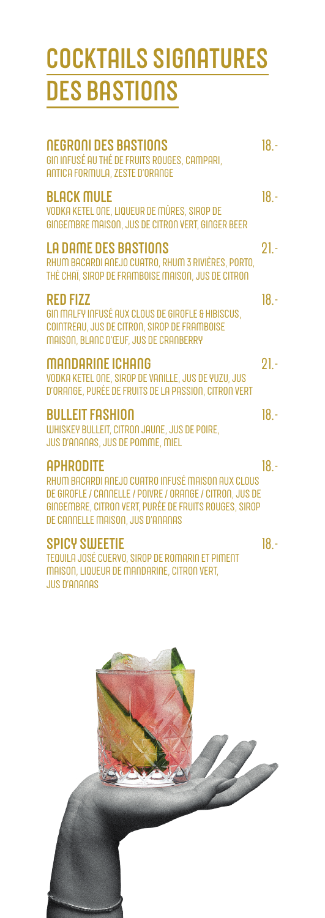# **COCKTAILS SIGNATURES**<br>DES BASTIONS

| <b>NEGRONI DES BASTIONS</b><br>GIN INFUSÉ AU THÉ DE FRUITS ROUGES, CAMPARI,<br>ANTICA FORMULA, ZESTE D'ORANGE                                                                                                                  | $18. -$ |
|--------------------------------------------------------------------------------------------------------------------------------------------------------------------------------------------------------------------------------|---------|
| <b>BLACK MULE</b><br>VODKA KETEL ONE, LIQUEUR DE MÛRES, SIROP DE<br>GINGEMBRE MAISON, JUS DE CITRON VERT, GINGER BEER                                                                                                          | $18. -$ |
| <b>LA DAME DES BASTIONS</b><br>RHUM BACARDI ANEJO CUATRO, RHUM 3 RIVIÈRES, PORTO,<br>THÉ CHAÏ, SIROP DE FRAMBOISE MAISON, JUS DE CITRON                                                                                        | $21 -$  |
| <b>RED FIZZ</b><br>GIN MALFY INFUSÉ AUX CLOUS DE GIROFLE & HIBISCUS,<br>COINTREAU, JUS DE CITRON, SIROP DE FRAMBOISE<br>MAISON, BLANC D'ŒUF, JUS DE CRANBERRY                                                                  | $18. -$ |
| <b>MANDARINE ICHANG</b><br>VODKA KETEL ONE, SIROP DE VANILLE, JUS DE YUZU, JUS<br>D'ORANGE, PURÉE DE FRUITS DE LA PASSION, CITRON VERT                                                                                         | $21 -$  |
| <b>BULLEIT FASHION</b><br>WHISKEY BULLEIT, CITRON JAUNE, JUS DE POIRE,<br>JUS D'ANANAS, JUS DE POMME, MIEL                                                                                                                     | $18. -$ |
| <b>APHRODITE</b><br>RHUM BACARDI ANEJO CUATRO INFUSÉ MAISON AUX CLOUS<br>DE GIROFLE / CANNELLE / POIVRE / ORANGE / CITRON, JUS DE<br>GINGEMBRE, CITRON VERT, PURÉE DE FRUITS ROUGES, SIROP<br>DE CANNELLE MAISON, JUS D'ANANAS | $18. -$ |
| <b>SPICY SWEETIE</b><br>TEQUILA JOSÉ CUERVO, SIROP DE ROMARIN ET PIMENT<br>MAISON, LIQUEUR DE MANDARINE, CITRON VERT,                                                                                                          | $18 -$  |



**JUS D'ANANAS**